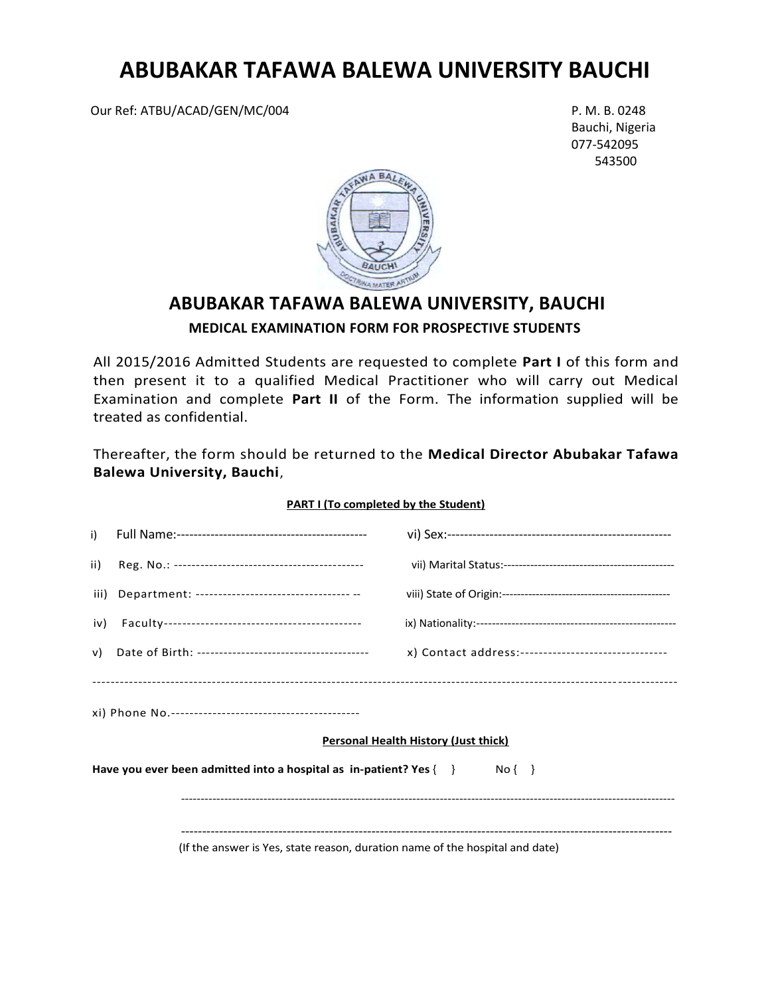# **ABUBAKAR TAFAWA BALEWA UNIVERSITY BAUCHI**

Our Ref: ATBU/ACAD/GEN/MC/004 P.M. B. 0248

 Bauchi, Nigeria 077-542095 543500



## **ABUBAKAR TAFAWA BALEWA UNIVERSITY, BAUCHI**

### **MEDICAL EXAMINATION FORM FOR PROSPECTIVE STUDENTS**

All 2015/2016 Admitted Students are requested to complete **Part I** of this form and then present it to a qualified Medical Practitioner who will carry out Medical Examination and complete **Part II** of the Form. The information supplied will be treated as confidential.

Thereafter, the form should be returned to the **Medical Director Abubakar Tafawa Balewa University, Bauchi**,

| i)                                                                                                                    |                                                                              |                                                      |  |  |
|-----------------------------------------------------------------------------------------------------------------------|------------------------------------------------------------------------------|------------------------------------------------------|--|--|
| ii)                                                                                                                   |                                                                              |                                                      |  |  |
|                                                                                                                       | iii) Department: ---------------------------------- --                       |                                                      |  |  |
| iv)                                                                                                                   |                                                                              |                                                      |  |  |
| v)                                                                                                                    |                                                                              | x) Contact address:--------------------------------- |  |  |
|                                                                                                                       |                                                                              |                                                      |  |  |
|                                                                                                                       | <b>Personal Health History (Just thick)</b>                                  |                                                      |  |  |
| Have you ever been admitted into a hospital as $\mathop{\mathsf{in}}\nolimits$ -patient? Yes $\{\quad\}$<br>$No \{\}$ |                                                                              |                                                      |  |  |
|                                                                                                                       |                                                                              |                                                      |  |  |
|                                                                                                                       | (If the answer is Yes, state reason, duration name of the hospital and date) |                                                      |  |  |

### **PART I (To completed by the Student)**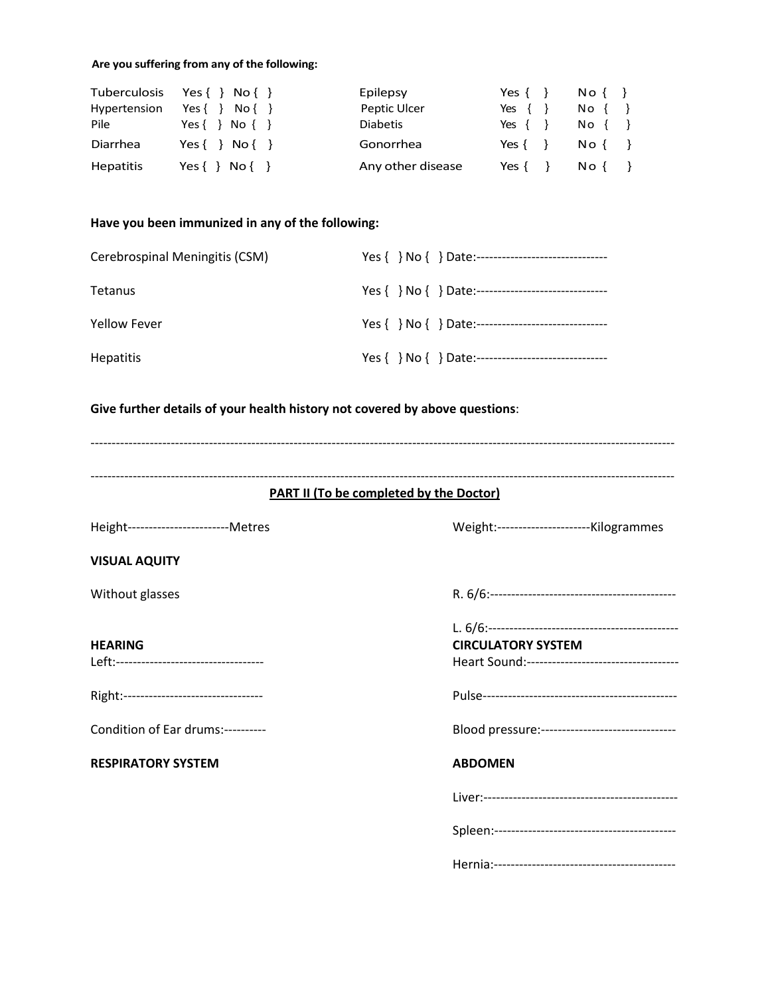#### **Are you suffering from any of the following:**

| Tuberculosis     | Yes $\{\}$ No $\{\}$              | Epilepsy          | Yes $\{\}$ | $N \circ \{ \}$                                    |
|------------------|-----------------------------------|-------------------|------------|----------------------------------------------------|
| Hypertension     | Yes $\{\}$<br>$N \circ \{\quad\}$ | Peptic Ulcer      | Yes $\{\}$ | $No \left\{ \begin{array}{c} \end{array} \right\}$ |
| Pile             | Yes $\{\}$ No $\{\}$              | <b>Diabetis</b>   | Yes {      | $No \left\{\begin{array}{c} \end{array}\right\}$   |
| Diarrhea         | Yes $\{\}$ No $\{\}$              | Gonorrhea         | Yes $\{\}$ | $N \circ \{ \}$                                    |
| <b>Hepatitis</b> | Yes $\{\}$ No $\{\}$              | Any other disease | Yes {      | $N \circ \{ \}$                                    |

#### **Have you been immunized in any of the following:**

| Cerebrospinal Meningitis (CSM) |                                                      |
|--------------------------------|------------------------------------------------------|
| Tetanus                        | Yes { } No { } Date:-------------------------------- |
| <b>Yellow Fever</b>            |                                                      |
| <b>Hepatitis</b>               |                                                      |

#### **Give further details of your health history not covered by above questions**:

------------------------------------------------------------------------------------------------------------------------------------------

#### ------------------------------------------------------------------------------------------------------------------------------------------ **PART II (To be completed by the Doctor)**

#### **VISUAL AQUITY**

#### **HEARING CIRCULATORY SYSTEM** Left:----------------------------------- Heart Sound:------------------------------------

Right:--------------------------------- Pulse----------------------------------------------

**RESPIRATORY SYSTEM ABDOMEN**

Height------------------------Metres Weight:----------------------Kilogrammes

Without glasses R. 6/6:--------------------------------------------

| $\overline{a}$ |
|----------------|

| <b>Dulco</b> |  |  |
|--------------|--|--|

Condition of Ear drums:---------- Blood pressure:--------------------------------

Liver:----------------------------------------------

| Spleen: |
|---------|
|---------|

Hernia:-------------------------------------------